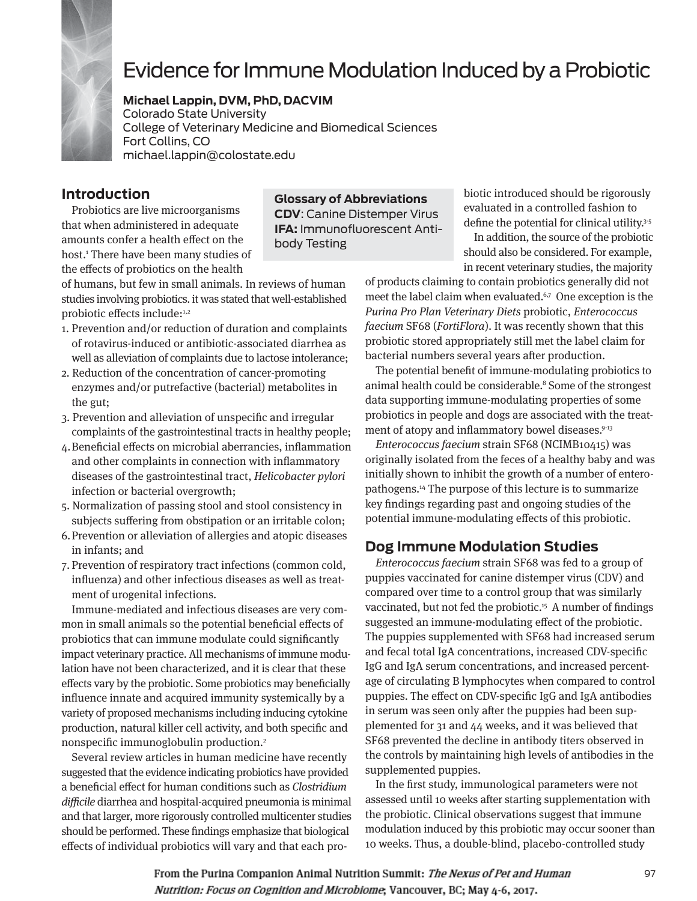

# Evidence for Immune Modulation Induced by a Probiotic

**Michael Lappin, DVM, PhD, DACVIM** Colorado State University College of Veterinary Medicine and Biomedical Sciences Fort Collins, CO michael.lappin@colostate.edu

# **Introduction**

Probiotics are live microorganisms that when administered in adequate amounts confer a health effect on the host.1 There have been many studies of the effects of probiotics on the health

of humans, but few in small animals. In reviews of human studies involving probiotics. it was stated that well-established probiotic effects include:<sup>1,2</sup>

- 1. Prevention and/or reduction of duration and complaints of rotavirus-induced or antibiotic-associated diarrhea as well as alleviation of complaints due to lactose intolerance;
- 2. Reduction of the concentration of cancer-promoting enzymes and/or putrefactive (bacterial) metabolites in the gut;
- 3. Prevention and alleviation of unspecific and irregular complaints of the gastrointestinal tracts in healthy people;
- 4. Beneficial effects on microbial aberrancies, inflammation and other complaints in connection with inflammatory diseases of the gastrointestinal tract, Helicobacter pylori infection or bacterial overgrowth;
- 5. Normalization of passing stool and stool consistency in subjects suffering from obstipation or an irritable colon;
- 6. Prevention or alleviation of allergies and atopic diseases in infants; and
- 7. Prevention of respiratory tract infections (common cold, influenza) and other infectious diseases as well as treatment of urogenital infections.

Immune-mediated and infectious diseases are very common in small animals so the potential beneficial effects of probiotics that can immune modulate could significantly impact veterinary practice. All mechanisms of immune modulation have not been characterized, and it is clear that these effects vary by the probiotic. Some probiotics may beneficially influence innate and acquired immunity systemically by a variety of proposed mechanisms including inducing cytokine production, natural killer cell activity, and both specific and nonspecific immunoglobulin production.<sup>2</sup>

Several review articles in human medicine have recently suggested that the evidence indicating probiotics have provided a beneficial effect for human conditions such as Clostridium difficile diarrhea and hospital-acquired pneumonia is minimal and that larger, more rigorously controlled multicenter studies should be performed. These findings emphasize that biological effects of individual probiotics will vary and that each pro-

**Glossary of Abbreviations CDV**: Canine Distemper Virus **IFA:** Immunofluorescent Antibody Testing

biotic introduced should be rigorously evaluated in a controlled fashion to define the potential for clinical utility.<sup>3-5</sup>

In addition, the source of the probiotic should also be considered. For example, in recent veterinary studies, the majority

of products claiming to contain probiotics generally did not meet the label claim when evaluated.<sup>6,7</sup> One exception is the Purina Pro Plan Veterinary Diets probiotic, Enterococcus faecium SF68 (FortiFlora). It was recently shown that this probiotic stored appropriately still met the label claim for bacterial numbers several years after production.

The potential benefit of immune-modulating probiotics to animal health could be considerable.<sup>8</sup> Some of the strongest data supporting immune-modulating properties of some probiotics in people and dogs are associated with the treatment of atopy and inflammatory bowel diseases.<sup>9-13</sup>

Enterococcus faecium strain SF68 (NCIMB10415) was originally isolated from the feces of a healthy baby and was initially shown to inhibit the growth of a number of enteropathogens.14 The purpose of this lecture is to summarize key findings regarding past and ongoing studies of the potential immune-modulating effects of this probiotic.

## **Dog Immune Modulation Studies**

Enterococcus faecium strain SF68 was fed to a group of puppies vaccinated for canine distemper virus (CDV) and compared over time to a control group that was similarly vaccinated, but not fed the probiotic.<sup>15</sup> A number of findings suggested an immune-modulating effect of the probiotic. The puppies supplemented with SF68 had increased serum and fecal total IgA concentrations, increased CDV-specific IgG and IgA serum concentrations, and increased percentage of circulating B lymphocytes when compared to control puppies. The effect on CDV-specific IgG and IgA antibodies in serum was seen only after the puppies had been supplemented for 31 and 44 weeks, and it was believed that SF68 prevented the decline in antibody titers observed in the controls by maintaining high levels of antibodies in the supplemented puppies.

In the first study, immunological parameters were not assessed until 10 weeks after starting supplementation with the probiotic. Clinical observations suggest that immune modulation induced by this probiotic may occur sooner than 10 weeks. Thus, a double-blind, placebo-controlled study

From the Purina Companion Animal Nutrition Summit: The Nexus of Pet and Human Nutrition: Focus on Cognition and Microbiome, Vancouver, BC; May 4-6, 2017.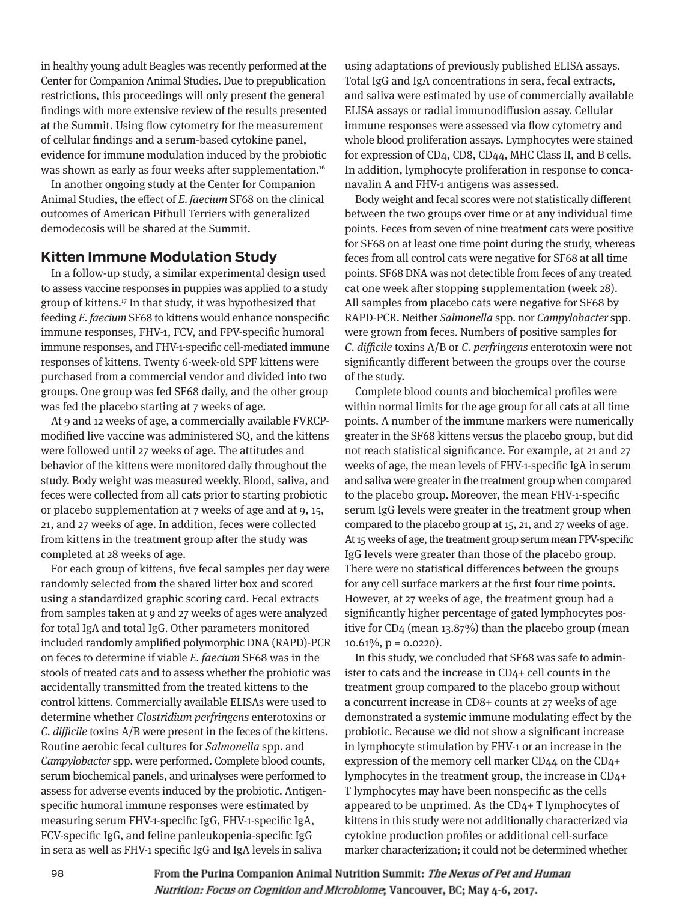in healthy young adult Beagles was recently performed at the Center for Companion Animal Studies. Due to prepublication restrictions, this proceedings will only present the general findings with more extensive review of the results presented at the Summit. Using flow cytometry for the measurement of cellular findings and a serum-based cytokine panel, evidence for immune modulation induced by the probiotic was shown as early as four weeks after supplementation.<sup>16</sup>

In another ongoing study at the Center for Companion Animal Studies, the effect of E. faecium SF68 on the clinical outcomes of American Pitbull Terriers with generalized demodecosis will be shared at the Summit.

#### **Kitten Immune Modulation Study**

In a follow-up study, a similar experimental design used to assess vaccine responses in puppies was applied to a study group of kittens.17 In that study, it was hypothesized that feeding E. faecium SF68 to kittens would enhance nonspecific immune responses, FHV-1, FCV, and FPV-specific humoral immune responses, and FHV-1-specific cell-mediated immune responses of kittens. Twenty 6-week-old SPF kittens were purchased from a commercial vendor and divided into two groups. One group was fed SF68 daily, and the other group was fed the placebo starting at 7 weeks of age.

At 9 and 12 weeks of age, a commercially available FVRCPmodified live vaccine was administered SQ, and the kittens were followed until 27 weeks of age. The attitudes and behavior of the kittens were monitored daily throughout the study. Body weight was measured weekly. Blood, saliva, and feces were collected from all cats prior to starting probiotic or placebo supplementation at 7 weeks of age and at 9, 15, 21, and 27 weeks of age. In addition, feces were collected from kittens in the treatment group after the study was completed at 28 weeks of age.

For each group of kittens, five fecal samples per day were randomly selected from the shared litter box and scored using a standardized graphic scoring card. Fecal extracts from samples taken at 9 and 27 weeks of ages were analyzed for total IgA and total IgG. Other parameters monitored included randomly amplified polymorphic DNA (RAPD)-PCR on feces to determine if viable E. faecium SF68 was in the stools of treated cats and to assess whether the probiotic was accidentally transmitted from the treated kittens to the control kittens. Commercially available ELISAs were used to determine whether Clostridium perfringens enterotoxins or C. difficile toxins A/B were present in the feces of the kittens. Routine aerobic fecal cultures for Salmonella spp. and Campylobacter spp. were performed. Complete blood counts, serum biochemical panels, and urinalyses were performed to assess for adverse events induced by the probiotic. Antigenspecific humoral immune responses were estimated by measuring serum FHV-1-specific IgG, FHV-1-specific IgA, FCV-specific IgG, and feline panleukopenia-specific IgG in sera as well as FHV-1 specific IgG and IgA levels in saliva

using adaptations of previously published ELISA assays. Total IgG and IgA concentrations in sera, fecal extracts, and saliva were estimated by use of commercially available ELISA assays or radial immunodiffusion assay. Cellular immune responses were assessed via flow cytometry and whole blood proliferation assays. Lymphocytes were stained for expression of CD4, CD8, CD44, MHC Class II, and B cells. In addition, lymphocyte proliferation in response to concanavalin A and FHV-1 antigens was assessed.

Body weight and fecal scores were not statistically different between the two groups over time or at any individual time points. Feces from seven of nine treatment cats were positive for SF68 on at least one time point during the study, whereas feces from all control cats were negative for SF68 at all time points. SF68 DNA was not detectible from feces of any treated cat one week after stopping supplementation (week 28). All samples from placebo cats were negative for SF68 by RAPD-PCR. Neither Salmonella spp. nor Campylobacter spp. were grown from feces. Numbers of positive samples for C. difficile toxins A/B or C. perfringens enterotoxin were not significantly different between the groups over the course of the study.

Complete blood counts and biochemical profiles were within normal limits for the age group for all cats at all time points. A number of the immune markers were numerically greater in the SF68 kittens versus the placebo group, but did not reach statistical significance. For example, at 21 and 27 weeks of age, the mean levels of FHV-1-specific IgA in serum and saliva were greater in the treatment group when compared to the placebo group. Moreover, the mean FHV-1-specific serum IgG levels were greater in the treatment group when compared to the placebo group at 15, 21, and 27 weeks of age. At 15 weeks of age, the treatment group serum mean FPV-specific IgG levels were greater than those of the placebo group. There were no statistical differences between the groups for any cell surface markers at the first four time points. However, at 27 weeks of age, the treatment group had a significantly higher percentage of gated lymphocytes positive for CD4 (mean 13.87%) than the placebo group (mean 10.61%,  $p = 0.0220$ ).

In this study, we concluded that SF68 was safe to administer to cats and the increase in CD4+ cell counts in the treatment group compared to the placebo group without a concurrent increase in CD8+ counts at 27 weeks of age demonstrated a systemic immune modulating effect by the probiotic. Because we did not show a significant increase in lymphocyte stimulation by FHV-1 or an increase in the expression of the memory cell marker CD44 on the CD4+ lymphocytes in the treatment group, the increase in CD4+ T lymphocytes may have been nonspecific as the cells appeared to be unprimed. As the CD4+ T lymphocytes of kittens in this study were not additionally characterized via cytokine production profiles or additional cell-surface marker characterization; it could not be determined whether

From the Purina Companion Animal Nutrition Summit: The Nexus of Pet and Human Nutrition: Focus on Cognition and Microbiome, Vancouver, BC; May 4-6, 2017.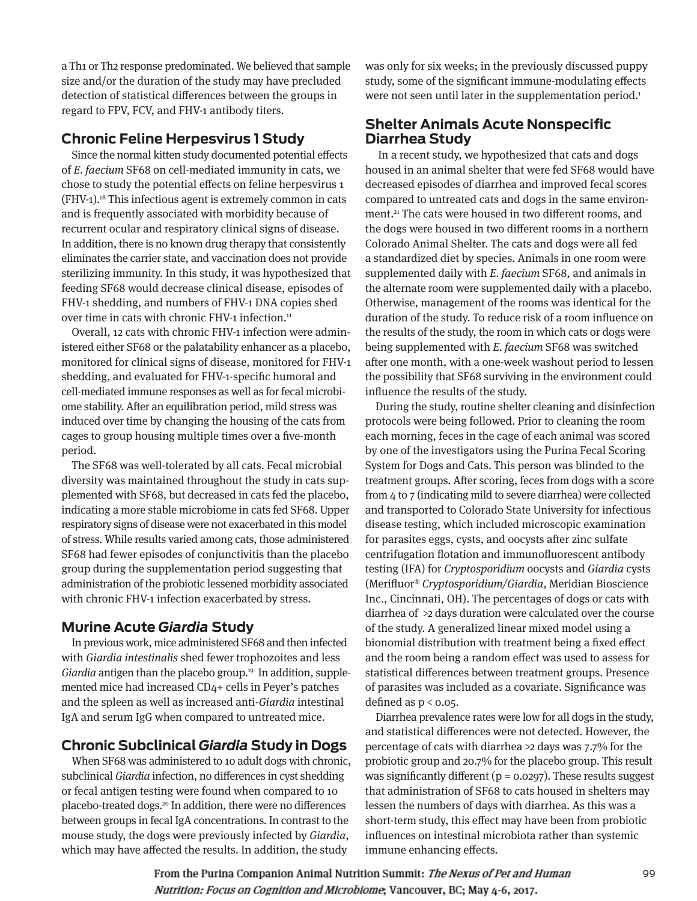a Th1 or Th2 response predominated. We believed that sample size and/or the duration of the study may have precluded detection of statistical differences between the groups in regard to FPV, FCV, and FHV-1 antibody titers.

## **Chronic Feline Herpesvirus 1 Study**

Since the normal kitten study documented potential effects of E. faecium SF68 on cell-mediated immunity in cats, we chose to study the potential effects on feline herpesvirus 1 (FHV-1).18 This infectious agent is extremely common in cats and is frequently associated with morbidity because of recurrent ocular and respiratory clinical signs of disease. In addition, there is no known drug therapy that consistently eliminates the carrier state, and vaccination does not provide sterilizing immunity. In this study, it was hypothesized that feeding SF68 would decrease clinical disease, episodes of FHV-1 shedding, and numbers of FHV-1 DNA copies shed over time in cats with chronic FHV-1 infection.<sup>11</sup>

Overall, 12 cats with chronic FHV-1 infection were administered either SF68 or the palatability enhancer as a placebo, monitored for clinical signs of disease, monitored for FHV-1 shedding, and evaluated for FHV-1-specific humoral and cell-mediated immune responses as well as for fecal microbiome stability. After an equilibration period, mild stress was induced over time by changing the housing of the cats from cages to group housing multiple times over a five-month period.

The SF68 was well-tolerated by all cats. Fecal microbial diversity was maintained throughout the study in cats supplemented with SF68, but decreased in cats fed the placebo, indicating a more stable microbiome in cats fed SF68. Upper respiratory signs of disease were not exacerbated in this model of stress. While results varied among cats, those administered SF68 had fewer episodes of conjunctivitis than the placebo group during the supplementation period suggesting that administration of the probiotic lessened morbidity associated with chronic FHV-1 infection exacerbated by stress.

#### **Murine Acute** *Giardia* **Study**

In previous work, mice administered SF68 and then infected with Giardia intestinalis shed fewer trophozoites and less Giardia antigen than the placebo group.<sup>19</sup> In addition, supplemented mice had increased CD4+ cells in Peyer's patches and the spleen as well as increased anti-Giardia intestinal IgA and serum IgG when compared to untreated mice.

## **Chronic Subclinical** *Giardia* **Study in Dogs**

When SF68 was administered to 10 adult dogs with chronic, subclinical Giardia infection, no differences in cyst shedding or fecal antigen testing were found when compared to 10 placebo-treated dogs.<sup>20</sup> In addition, there were no differences between groups in fecal IgA concentrations. In contrast to the mouse study, the dogs were previously infected by Giardia, which may have affected the results. In addition, the study

was only for six weeks; in the previously discussed puppy study, some of the significant immune-modulating effects were not seen until later in the supplementation period.<sup>1</sup>

## **Shelter Animals Acute Nonspecific Diarrhea Study**

 In a recent study, we hypothesized that cats and dogs housed in an animal shelter that were fed SF68 would have decreased episodes of diarrhea and improved fecal scores compared to untreated cats and dogs in the same environment.<sup>21</sup> The cats were housed in two different rooms, and the dogs were housed in two different rooms in a northern Colorado Animal Shelter. The cats and dogs were all fed a standardized diet by species. Animals in one room were supplemented daily with E. faecium SF68, and animals in the alternate room were supplemented daily with a placebo. Otherwise, management of the rooms was identical for the duration of the study. To reduce risk of a room influence on the results of the study, the room in which cats or dogs were being supplemented with E. faecium SF68 was switched after one month, with a one-week washout period to lessen the possibility that SF68 surviving in the environment could influence the results of the study.

During the study, routine shelter cleaning and disinfection protocols were being followed. Prior to cleaning the room each morning, feces in the cage of each animal was scored by one of the investigators using the Purina Fecal Scoring System for Dogs and Cats. This person was blinded to the treatment groups. After scoring, feces from dogs with a score from 4 to 7 (indicating mild to severe diarrhea) were collected and transported to Colorado State University for infectious disease testing, which included microscopic examination for parasites eggs, cysts, and oocysts after zinc sulfate centrifugation flotation and immunofluorescent antibody testing (IFA) for Cryptosporidium oocysts and Giardia cysts (Merifluor® Cryptosporidium/Giardia, Meridian Bioscience Inc., Cincinnati, OH). The percentages of dogs or cats with diarrhea of >2 days duration were calculated over the course of the study. A generalized linear mixed model using a bionomial distribution with treatment being a fixed effect and the room being a random effect was used to assess for statistical differences between treatment groups. Presence of parasites was included as a covariate. Significance was defined as  $p < 0.05$ .

Diarrhea prevalence rates were low for all dogs in the study, and statistical differences were not detected. However, the percentage of cats with diarrhea >2 days was 7.7% for the probiotic group and 20.7% for the placebo group. This result was significantly different ( $p = 0.0297$ ). These results suggest that administration of SF68 to cats housed in shelters may lessen the numbers of days with diarrhea. As this was a short-term study, this effect may have been from probiotic influences on intestinal microbiota rather than systemic immune enhancing effects.

From the Purina Companion Animal Nutrition Summit: The Nexus of Pet and Human Nutrition: Focus on Cognition and Microbiome, Vancouver, BC; May 4-6, 2017.